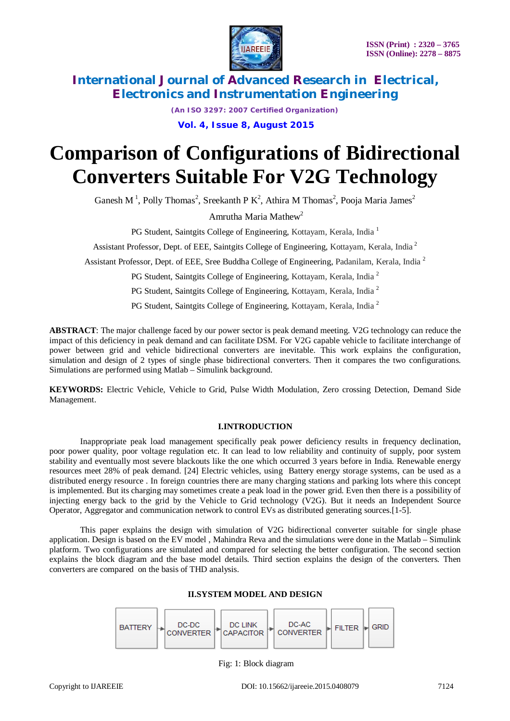



*(An ISO 3297: 2007 Certified Organization)*

**Vol. 4, Issue 8, August 2015**

# **Comparison of Configurations of Bidirectional Converters Suitable For V2G Technology**

Ganesh M<sup>1</sup>, Polly Thomas<sup>2</sup>, Sreekanth P K<sup>2</sup>, Athira M Thomas<sup>2</sup>, Pooja Maria James<sup>2</sup>

Amrutha Maria Mathew<sup>2</sup>

PG Student, Saintgits College of Engineering, Kottayam, Kerala, India<sup>1</sup>

Assistant Professor, Dept. of EEE, Saintgits College of Engineering, Kottayam, Kerala, India<sup>2</sup>

Assistant Professor, Dept. of EEE, Sree Buddha College of Engineering, Padanilam, Kerala, India <sup>2</sup>

PG Student, Saintgits College of Engineering, Kottayam, Kerala, India <sup>2</sup>

PG Student, Saintgits College of Engineering, Kottayam, Kerala, India <sup>2</sup>

PG Student, Saintgits College of Engineering, Kottayam, Kerala, India <sup>2</sup>

**ABSTRACT**: The major challenge faced by our power sector is peak demand meeting. V2G technology can reduce the impact of this deficiency in peak demand and can facilitate DSM. For V2G capable vehicle to facilitate interchange of power between grid and vehicle bidirectional converters are inevitable. This work explains the configuration, simulation and design of 2 types of single phase bidirectional converters. Then it compares the two configurations. Simulations are performed using Matlab – Simulink background.

**KEYWORDS:** Electric Vehicle, Vehicle to Grid, Pulse Width Modulation, Zero crossing Detection, Demand Side Management.

#### **I.INTRODUCTION**

Inappropriate peak load management specifically peak power deficiency results in frequency declination, poor power quality, poor voltage regulation etc. It can lead to low reliability and continuity of supply, poor system stability and eventually most severe blackouts like the one which occurred 3 years before in India. Renewable energy resources meet 28% of peak demand. [24] Electric vehicles, using Battery energy storage systems, can be used as a distributed energy resource . In foreign countries there are many charging stations and parking lots where this concept is implemented. But its charging may sometimes create a peak load in the power grid. Even then there is a possibility of injecting energy back to the grid by the Vehicle to Grid technology (V2G). But it needs an Independent Source Operator, Aggregator and communication network to control EVs as distributed generating sources.[1-5].

This paper explains the design with simulation of V2G bidirectional converter suitable for single phase application. Design is based on the EV model , Mahindra Reva and the simulations were done in the Matlab – Simulink platform. Two configurations are simulated and compared for selecting the better configuration. The second section explains the block diagram and the base model details. Third section explains the design of the converters. Then converters are compared on the basis of THD analysis.

### **II.SYSTEM MODEL AND DESIGN**



Fig: 1: Block diagram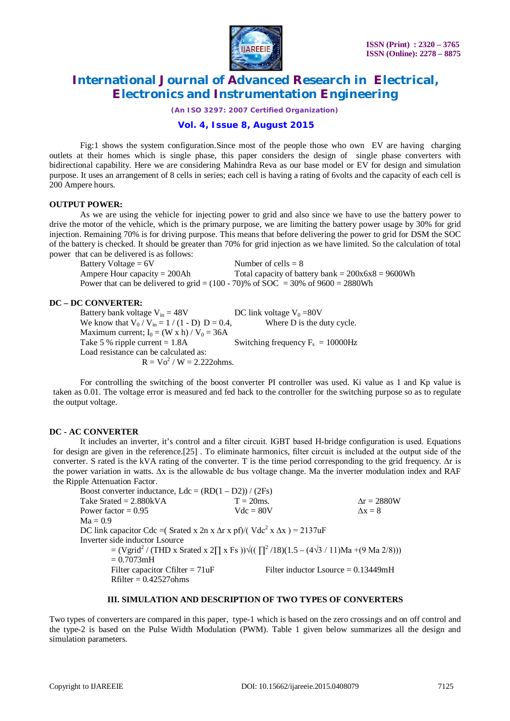

*(An ISO 3297: 2007 Certified Organization)*

### **Vol. 4, Issue 8, August 2015**

Fig:1 shows the system configuration.Since most of the people those who own EV are having charging outlets at their homes which is single phase, this paper considers the design of single phase converters with bidirectional capability. Here we are considering Mahindra Reva as our base model or EV for design and simulation purpose. It uses an arrangement of 8 cells in series; each cell is having a rating of 6volts and the capacity of each cell is 200 Ampere hours.

#### **OUTPUT POWER:**

As we are using the vehicle for injecting power to grid and also since we have to use the battery power to drive the motor of the vehicle, which is the primary purpose, we are limiting the battery power usage by 30% for grid injection. Remaining 70% is for driving purpose. This means that before delivering the power to grid for DSM the SOC of the battery is checked. It should be greater than 70% for grid injection as we have limited. So the calculation of total power that can be delivered is as follows:

Battery Voltage =  $6V$  Number of cells =  $8$ Ampere Hour capacity =  $200$ Ah Total capacity of battery bank =  $200x6x8 = 9600$ Wh Power that can be delivered to grid =  $(100 - 70)$ % of SOC = 30% of 9600 = 2880Wh

#### **DC – DC CONVERTER:**

Battery bank voltage V<sub>in</sub> = 48V DC link voltage V<sub>0</sub> = 80V<br>We know that V<sub>0</sub> / V<sub>in</sub> = 1 / (1 - D) D = 0.4, Where D is the duty cycle. We know that  $V_0 / V_{in} = 1 / (1 - D) D = 0.4$ , Maximum current;  $I_0 = (W \times h) / V_0 = 36A$ Take 5 % ripple current  $= 1.8$ A Switching frequency  $F_s = 10000 \text{Hz}$ Load resistance can be calculated as:  $R = Vo^{2} / W = 2.222 \text{ohms}.$ 

For controlling the switching of the boost converter PI controller was used. Ki value as 1 and Kp value is taken as 0.01. The voltage error is measured and fed back to the controller for the switching purpose so as to regulate the output voltage.

#### **DC - AC CONVERTER**

It includes an inverter, it's control and a filter circuit. IGBT based H-bridge configuration is used. Equations for design are given in the reference.[25] . To eliminate harmonics, filter circuit is included at the output side of the converter. S rated is the kVA rating of the converter. T is the time period corresponding to the grid frequency. ∆r is the power variation in watts. ∆x is the allowable dc bus voltage change. Ma the inverter modulation index and RAF the Ripple Attenuation Factor.

| Boost converter inductance, $Ldc = (RD(1 - D2)) / (2Fs)$                                         |              |                                       |  |  |
|--------------------------------------------------------------------------------------------------|--------------|---------------------------------------|--|--|
| Take Srated = $2.880kVA$                                                                         | $T = 20$ ms. | $\Delta r = 2880W$                    |  |  |
| Power factor = $0.95$                                                                            | $Vdc = 80V$  | $\Delta x = 8$                        |  |  |
| $Ma = 0.9$                                                                                       |              |                                       |  |  |
| DC link capacitor Cdc = (Srated x 2n x $\Delta$ r x pf)/(Vdc <sup>2</sup> x $\Delta$ x) = 2137uF |              |                                       |  |  |
| Inverter side inductor Lsource                                                                   |              |                                       |  |  |
| $=(Vgrid^2/(THD x Stated x 2T x Fs))\sqrt{((T^2/18)(1.5-(4\sqrt{3}/11))Ma+(9 Ma 2/8))})$         |              |                                       |  |  |
| $= 0.7073$ mH                                                                                    |              |                                       |  |  |
| Filter capacitor Cfilter = $71uF$                                                                |              | Filter inductor Lsource = $0.13449mH$ |  |  |
| $Rfilter = 0.42527 ohms$                                                                         |              |                                       |  |  |
|                                                                                                  |              |                                       |  |  |

#### **III. SIMULATION AND DESCRIPTION OF TWO TYPES OF CONVERTERS**

Two types of converters are compared in this paper, type-1 which is based on the zero crossings and on off control and the type-2 is based on the Pulse Width Modulation (PWM). Table 1 given below summarizes all the design and simulation parameters.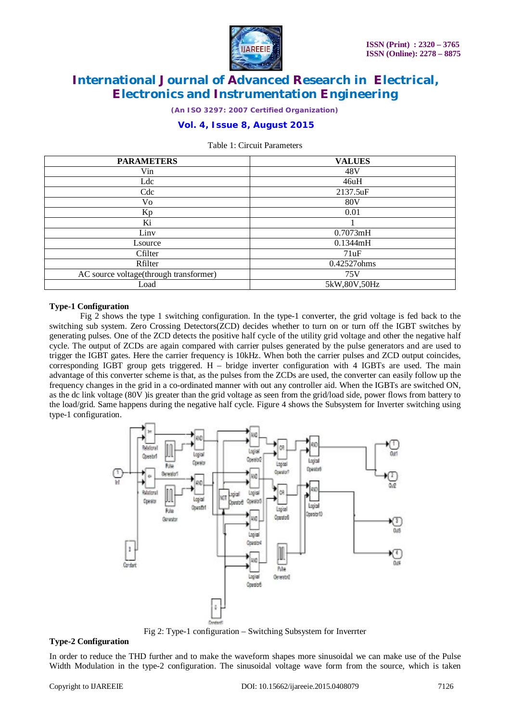

*(An ISO 3297: 2007 Certified Organization)*

### **Vol. 4, Issue 8, August 2015**

#### Table 1: Circuit Parameters

| <b>PARAMETERS</b>                      | <b>VALUES</b> |  |
|----------------------------------------|---------------|--|
| Vin                                    | 48V           |  |
| Ldc                                    | 46uH          |  |
| Cdc                                    | 2137.5uF      |  |
| Vo                                     | <b>80V</b>    |  |
| Kp                                     | 0.01          |  |
| Ki                                     |               |  |
| Linv                                   | 0.7073mH      |  |
| Lsource                                | 0.1344mH      |  |
| Cfilter                                | 71uF          |  |
| Rfilter                                | 0.42527ohms   |  |
| AC source voltage(through transformer) | 75V           |  |
| Load                                   | 5kW,80V,50Hz  |  |

#### **Type-1 Configuration**

Fig 2 shows the type 1 switching configuration. In the type-1 converter, the grid voltage is fed back to the switching sub system. Zero Crossing Detectors(ZCD) decides whether to turn on or turn off the IGBT switches by generating pulses. One of the ZCD detects the positive half cycle of the utility grid voltage and other the negative half cycle. The output of ZCDs are again compared with carrier pulses generated by the pulse generators and are used to trigger the IGBT gates. Here the carrier frequency is 10kHz. When both the carrier pulses and ZCD output coincides, corresponding IGBT group gets triggered. H – bridge inverter configuration with 4 IGBTs are used. The main advantage of this converter scheme is that, as the pulses from the ZCDs are used, the converter can easily follow up the frequency changes in the grid in a co-ordinated manner with out any controller aid. When the IGBTs are switched ON, as the dc link voltage (80V )is greater than the grid voltage as seen from the grid/load side, power flows from battery to the load/grid. Same happens during the negative half cycle. Figure 4 shows the Subsystem for Inverter switching using type-1 configuration.



Fig 2: Type-1 configuration – Switching Subsystem for Inverrter

#### **Type-2 Configuration**

In order to reduce the THD further and to make the waveform shapes more sinusoidal we can make use of the Pulse Width Modulation in the type-2 configuration. The sinusoidal voltage wave form from the source, which is taken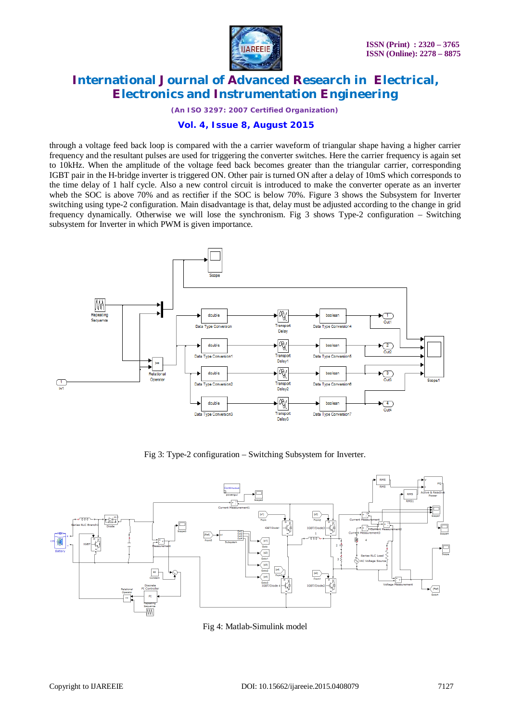

*(An ISO 3297: 2007 Certified Organization)*

### **Vol. 4, Issue 8, August 2015**

through a voltage feed back loop is compared with the a carrier waveform of triangular shape having a higher carrier frequency and the resultant pulses are used for triggering the converter switches. Here the carrier frequency is again set to 10kHz. When the amplitude of the voltage feed back becomes greater than the triangular carrier, corresponding IGBT pair in the H-bridge inverter is triggered ON. Other pair is turned ON after a delay of 10mS which corresponds to the time delay of 1 half cycle. Also a new control circuit is introduced to make the converter operate as an inverter wheb the SOC is above 70% and as rectifier if the SOC is below 70%. Figure 3 shows the Subsystem for Inverter switching using type-2 configuration. Main disadvantage is that, delay must be adjusted according to the change in grid frequency dynamically. Otherwise we will lose the synchronism. Fig 3 shows Type-2 configuration – Switching subsystem for Inverter in which PWM is given importance.



Fig 3: Type-2 configuration – Switching Subsystem for Inverter.



Fig 4: Matlab-Simulink model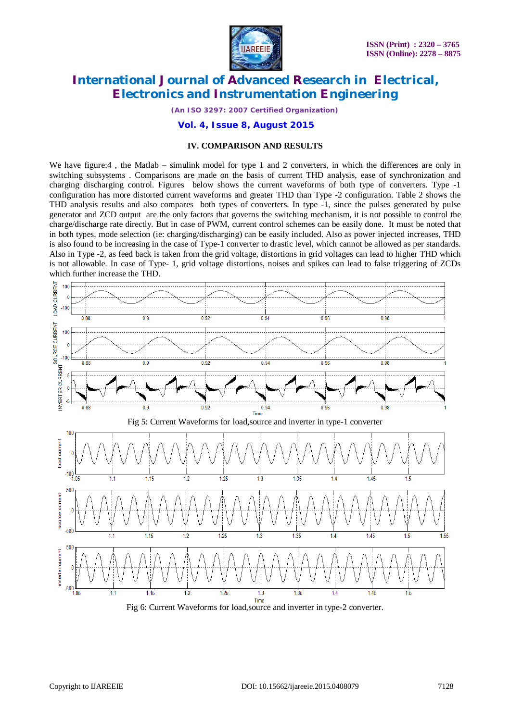

*(An ISO 3297: 2007 Certified Organization)*

### **Vol. 4, Issue 8, August 2015**

#### **IV. COMPARISON AND RESULTS**

We have figure:4, the Matlab – simulink model for type 1 and 2 converters, in which the differences are only in switching subsystems . Comparisons are made on the basis of current THD analysis, ease of synchronization and charging discharging control. Figures below shows the current waveforms of both type of converters. Type -1 configuration has more distorted current waveforms and greater THD than Type -2 configuration. Table 2 shows the THD analysis results and also compares both types of converters. In type -1, since the pulses generated by pulse generator and ZCD output are the only factors that governs the switching mechanism, it is not possible to control the charge/discharge rate directly. But in case of PWM, current control schemes can be easily done. It must be noted that in both types, mode selection (ie: charging/discharging) can be easily included. Also as power injected increases, THD is also found to be increasing in the case of Type-1 converter to drastic level, which cannot be allowed as per standards. Also in Type -2, as feed back is taken from the grid voltage, distortions in grid voltages can lead to higher THD which is not allowable. In case of Type- 1, grid voltage distortions, noises and spikes can lead to false triggering of ZCDs which further increase the THD.



Fig 6: Current Waveforms for load,source and inverter in type-2 converter.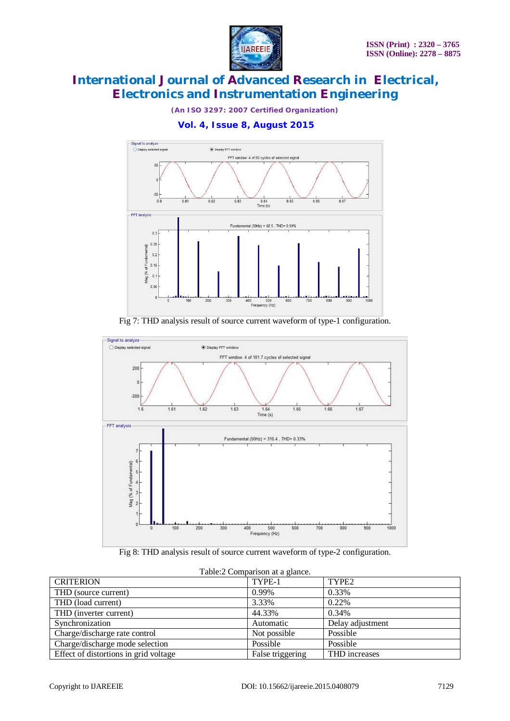

*(An ISO 3297: 2007 Certified Organization)*

**Vol. 4, Issue 8, August 2015**



Fig 7: THD analysis result of source current waveform of type-1 configuration.



Fig 8: THD analysis result of source current waveform of type-2 configuration.

| racio. $\omega$ comparison at a grantee. |                  |                   |  |  |
|------------------------------------------|------------------|-------------------|--|--|
| <b>CRITERION</b>                         | TYPE-1           | TYPE <sub>2</sub> |  |  |
| THD (source current)                     | 0.99%            | 0.33%             |  |  |
| THD (load current)                       | 3.33%            | 0.22%             |  |  |
| THD (inverter current)                   | 44.33%           | 0.34%             |  |  |
| Synchronization                          | Automatic        | Delay adjustment  |  |  |
| Charge/discharge rate control            | Not possible     | Possible          |  |  |
| Charge/discharge mode selection          | Possible         | Possible          |  |  |
| Effect of distortions in grid voltage    | False triggering | THD increases     |  |  |

### Table:2 Comparison at a glance.